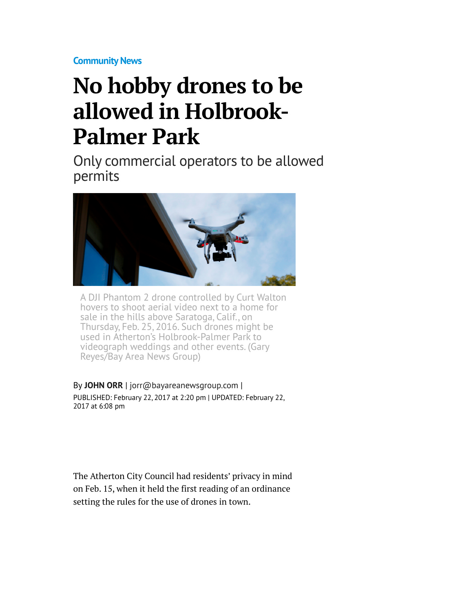**[Community News](http://www.mercurynews.com/saratoga-capital-projects/)**

## **No hobby drones to be allowed in Holbrook-Palmer Park**

Only commercial operators to be allowed permits



A DJI Phantom 2 drone controlled by Curt Walton hovers to shoot aerial video next to a home for sale in the hills above Saratoga, Calif., on Thursday, Feb. 25, 2016. Such drones might be used in Atherton's Holbrook-Palmer Park to videograph weddings and other events. (Gary Reyes/Bay Area News Group)

By **[JOHN ORR](http://www.mercurynews.com/author/john-orr/)** | [jorr@bayareanewsgroup.com](mailto:jorr@bayareanewsgroup.com) | PUBLISHED: February 22, 2017 at 2:20 pm | UPDATED: February 22, 2017 at 6:08 pm

The Atherton City Council had residents' privacy in mind on Feb. 15, when it held the first reading of an ordinance setting the rules for the use of drones in town.